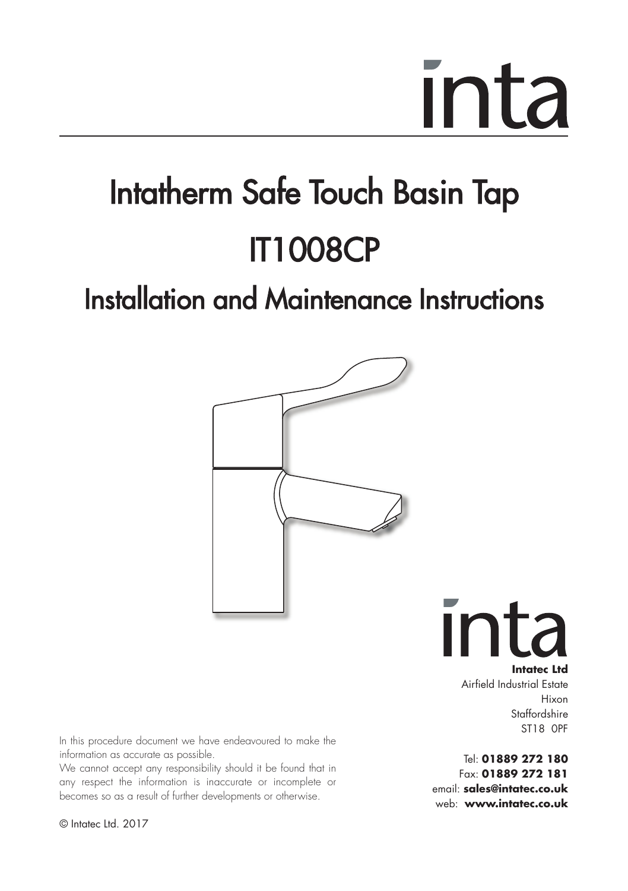### Intatherm Safe Touch Basin Tap IT1008CP

### Installation and Maintenance Instructions



Ir **Intatec Ltd** Airfield Industrial Estate

Hixon Staffordshire ST18 0PF

Tel: **01889 272 180** Fax: **01889 272 181** email: **sales@intatec.co.uk** web: **www.intatec.co.uk**

In this procedure document we have endeavoured to make the information as accurate as possible.

We cannot accept any responsibility should it be found that in any respect the information is inaccurate or incomplete or becomes so as a result of further developments or otherwise.

© Intatec Ltd. 2017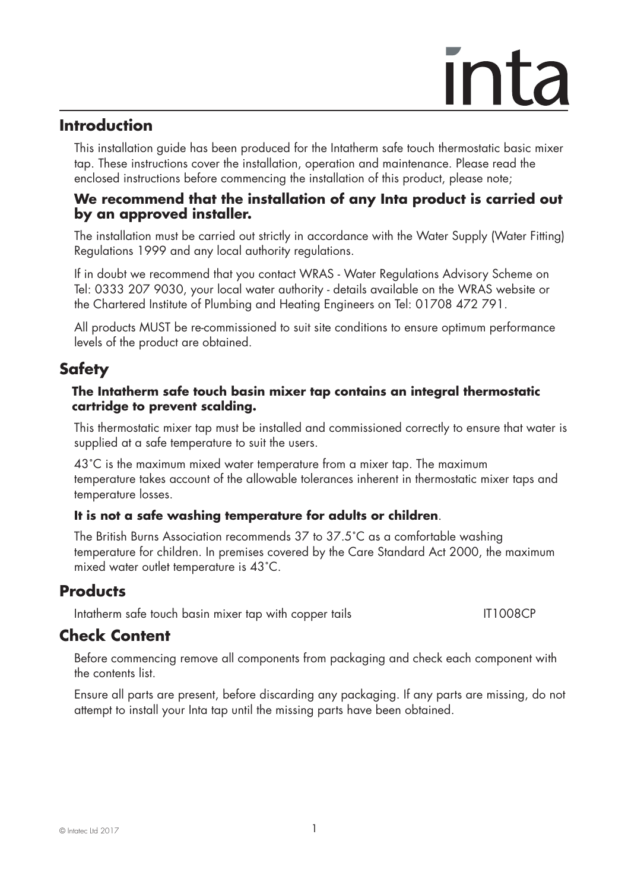#### **Introduction**

 This installation guide has been produced for the Intatherm safe touch thermostatic basic mixer tap. These instructions cover the installation, operation and maintenance. Please read the enclosed instructions before commencing the installation of this product, please note;

#### **We recommend that the installation of any Inta product is carried out by an approved installer.**

 The installation must be carried out strictly in accordance with the Water Supply (Water Fitting) Regulations 1999 and any local authority regulations.

 If in doubt we recommend that you contact WRAS - Water Regulations Advisory Scheme on Tel: 0333 207 9030, your local water authority - details available on the WRAS website or the Chartered Institute of Plumbing and Heating Engineers on Tel: 01708 472 791.

 All products MUST be re-commissioned to suit site conditions to ensure optimum performance levels of the product are obtained.

### **Safety**

#### **The Intatherm safe touch basin mixer tap contains an integral thermostatic cartridge to prevent scalding.**

This thermostatic mixer tap must be installed and commissioned correctly to ensure that water is supplied at a safe temperature to suit the users.

43˚C is the maximum mixed water temperature from a mixer tap. The maximum temperature takes account of the allowable tolerances inherent in thermostatic mixer taps and temperature losses.

#### **It is not a safe washing temperature for adults or children**.

The British Burns Association recommends 37 to 37.5˚C as a comfortable washing temperature for children. In premises covered by the Care Standard Act 2000, the maximum mixed water outlet temperature is 43˚C.

### **Products**

Intatherm safe touch basin mixer tap with copper tails IT1008CP

### **Check Content**

 Before commencing remove all components from packaging and check each component with the contents list.

 Ensure all parts are present, before discarding any packaging. If any parts are missing, do not attempt to install your Inta tap until the missing parts have been obtained.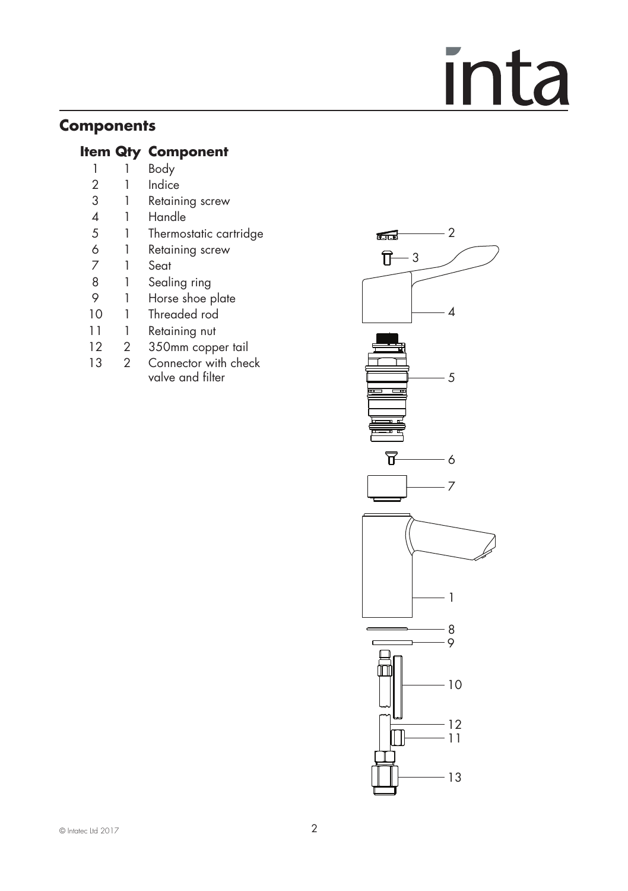### **Components**

### **Item Qty Component**<br>
1 Body

- 1 1 Body<br>2 1 Indice
- **Indice**
- 3 1 Retaining screw<br>4 1 Handle
- 4 1 Handle<br>5 1 Thermo:
- 5 1 Thermostatic cartridge<br>6 1 Retaining screw
- 6 1 Retaining screw<br>7 1 Seat
- 7 1 Seat
- 8 1 Sealing ring<br>9 1 Horse shoe r
- 9 1 Horse shoe plate<br>10 1 Threaded rod
- 1 Threaded rod
- 11 1 Retaining nut
- 12 2 350mm copper tail<br>13 2 Connector with che
- Connector with check valve and filter

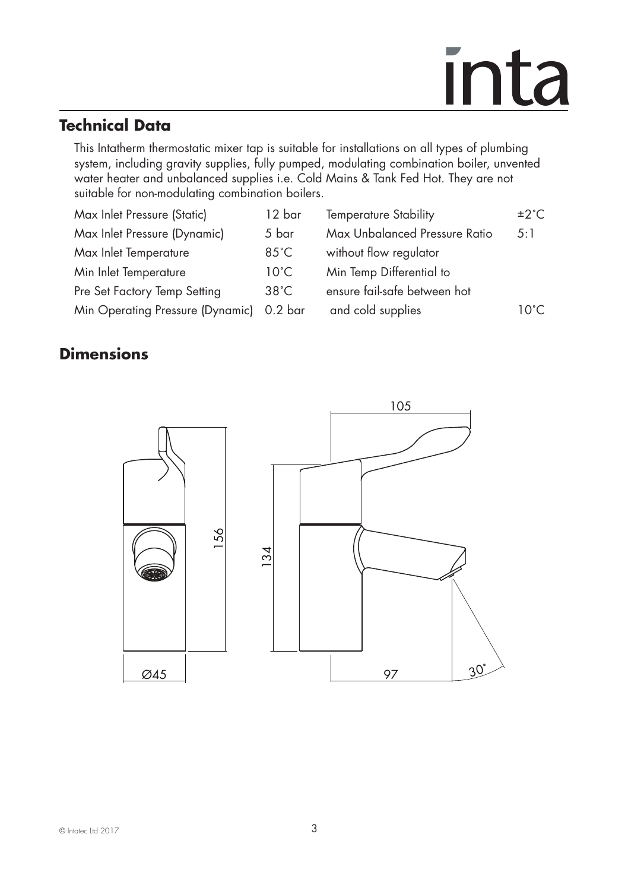### **Technical Data**

 This Intatherm thermostatic mixer tap is suitable for installations on all types of plumbing system, including gravity supplies, fully pumped, modulating combination boiler, unvented water heater and unbalanced supplies i.e. Cold Mains & Tank Fed Hot. They are not suitable for non-modulating combination boilers.

| Max Inlet Pressure (Static)      | 12 bar         | <b>Temperature Stability</b>  | ±2°C |
|----------------------------------|----------------|-------------------------------|------|
| Max Inlet Pressure (Dynamic)     | 5 bar          | Max Unbalanced Pressure Ratio | 5:1  |
| Max Inlet Temperature            | $85^{\circ}$ C | without flow regulator        |      |
| Min Inlet Temperature            | $10^{\circ}$ C | Min Temp Differential to      |      |
| Pre Set Factory Temp Setting     | $38^{\circ}$ C | ensure fail-safe between hot  |      |
| Min Operating Pressure (Dynamic) | $0.2$ bar      | and cold supplies             | 10°C |
|                                  |                |                               |      |

### **Dimensions**

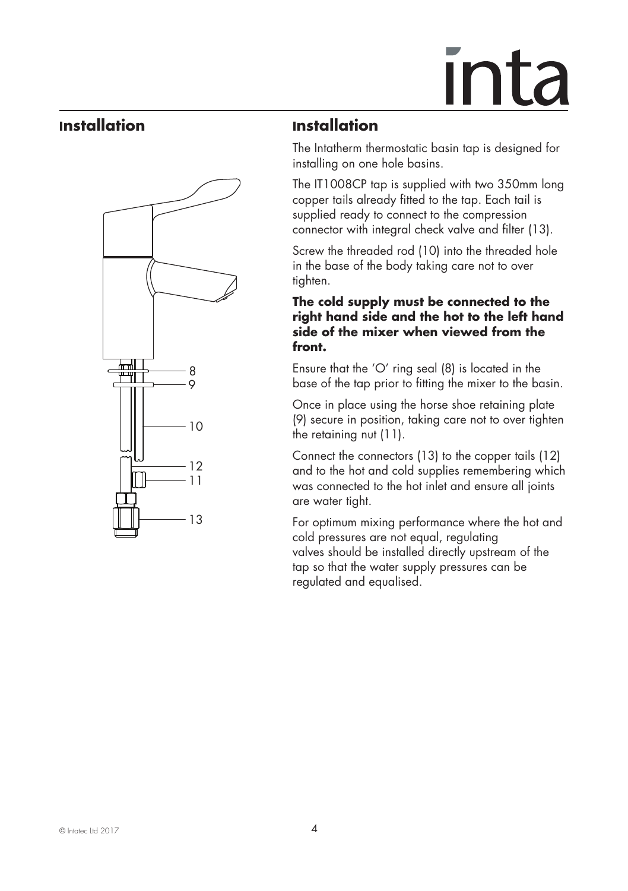## <u>Inta</u>

#### **Installation**



### **Installation**

The Intatherm thermostatic basin tap is designed for installing on one hole basins.

The IT1008CP tap is supplied with two 350mm long copper tails already fitted to the tap. Each tail is supplied ready to connect to the compression connector with integral check valve and filter (13).

Screw the threaded rod (10) into the threaded hole in the base of the body taking care not to over tighten.

#### **The cold supply must be connected to the right hand side and the hot to the left hand side of the mixer when viewed from the front.**

Ensure that the 'O' ring seal (8) is located in the base of the tap prior to fitting the mixer to the basin.

Once in place using the horse shoe retaining plate (9) secure in position, taking care not to over tighten the retaining nut (11).

Connect the connectors (13) to the copper tails (12) and to the hot and cold supplies remembering which was connected to the hot inlet and ensure all joints are water tight.

For optimum mixing performance where the hot and cold pressures are not equal, regulating valves should be installed directly upstream of the tap so that the water supply pressures can be regulated and equalised.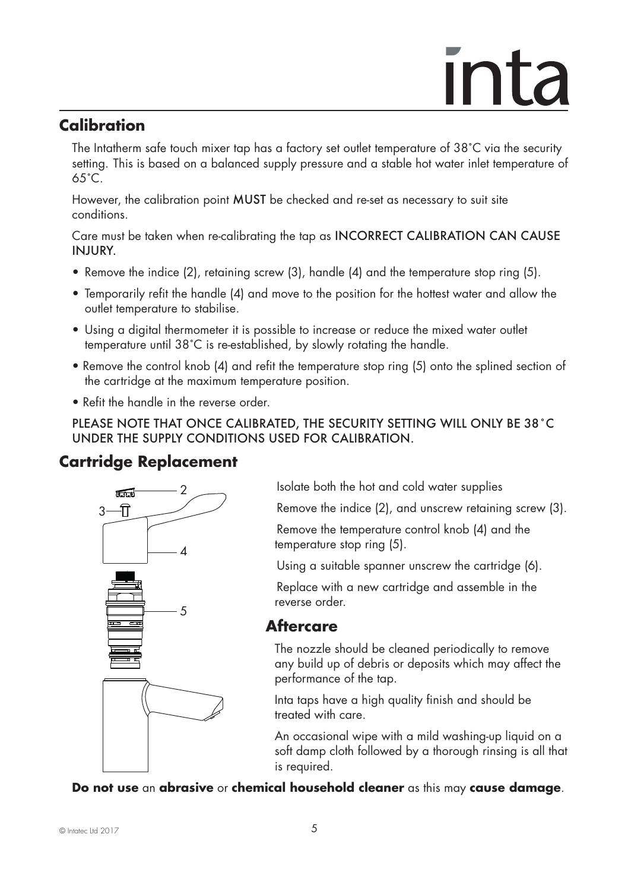### <u>**Inta**</u>

### **Calibration**

The Intatherm safe touch mixer tap has a factory set outlet temperature of 38˚C via the security setting. This is based on a balanced supply pressure and a stable hot water inlet temperature of 65˚C.

However, the calibration point MUST be checked and re-set as necessary to suit site conditions.

Care must be taken when re-calibrating the tap as INCORRECT CALIBRATION CAN CAUSE INJURY.

- Remove the indice (2), retaining screw (3), handle (4) and the temperature stop ring (5).
- Temporarily refit the handle (4) and move to the position for the hottest water and allow the outlet temperature to stabilise.
- Using a digital thermometer it is possible to increase or reduce the mixed water outlet temperature until 38˚C is re-established, by slowly rotating the handle.
- Remove the control knob (4) and refit the temperature stop ring (5) onto the splined section of the cartridge at the maximum temperature position.
- Refit the handle in the reverse order.

PLEASE NOTE THAT ONCE CALIBRATED, THE SECURITY SETTING WILL ONLY BE 38˚C UNDER THE SUPPLY CONDITIONS USED FOR CALIBRATION.

### **Cartridge Replacement**



Isolate both the hot and cold water supplies

Remove the indice (2), and unscrew retaining screw (3).

Remove the temperature control knob (4) and the temperature stop ring (5).

Using a suitable spanner unscrew the cartridge (6).

Replace with a new cartridge and assemble in the reverse order.

### **Aftercare**

The nozzle should be cleaned periodically to remove any build up of debris or deposits which may affect the performance of the tap.

Inta taps have a high quality finish and should be treated with care.

An occasional wipe with a mild washing-up liquid on a soft damp cloth followed by a thorough rinsing is all that is required.

**Do not use** an **abrasive** or **chemical household cleaner** as this may **cause damage**.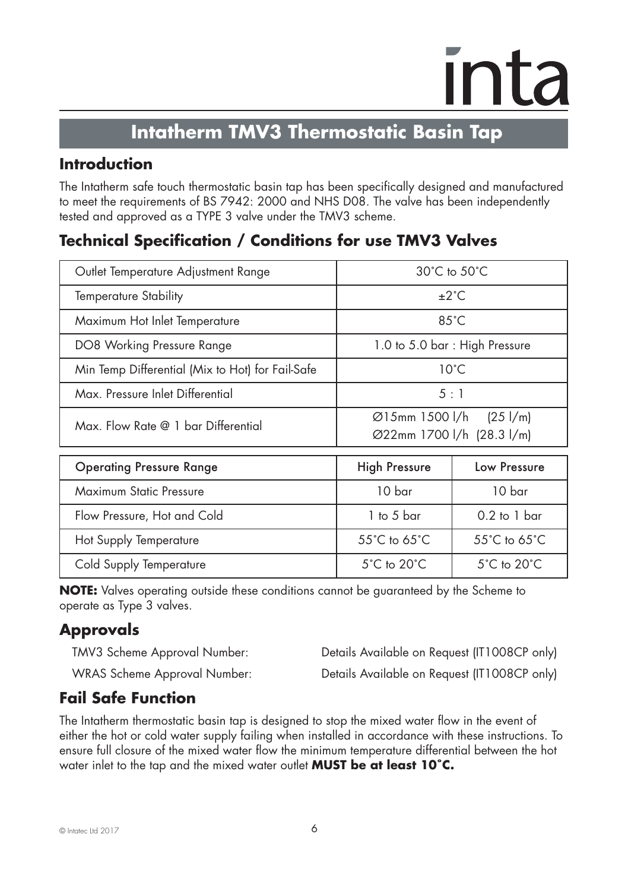### **Intatherm TMV3 Thermostatic Basin Tap**

### **Introduction**

The Intatherm safe touch thermostatic basin tap has been specifically designed and manufactured to meet the requirements of BS 7942: 2000 and NHS D08. The valve has been independently tested and approved as a TYPE 3 valve under the TMV3 scheme.

### **Technical Specification / Conditions for use TMV3 Valves**

| Outlet Temperature Adjustment Range              | $30^{\circ}$ C to $50^{\circ}$ C                                |                                 |
|--------------------------------------------------|-----------------------------------------------------------------|---------------------------------|
| <b>Temperature Stability</b>                     | $\pm 2^{\circ}$ C                                               |                                 |
| Maximum Hot Inlet Temperature                    | $85^{\circ}$ C                                                  |                                 |
| DO8 Working Pressure Range                       | 1.0 to 5.0 bar: High Pressure                                   |                                 |
| Min Temp Differential (Mix to Hot) for Fail-Safe | $10^{\circ}$ C                                                  |                                 |
| Max, Pressure Inlet Differential                 | 5:1                                                             |                                 |
| Max. Flow Rate @ 1 bar Differential              | $\emptyset$ 15mm 1500 l/h (25 l/m)<br>Ø22mm 1700 l/h (28.3 l/m) |                                 |
| <b>Operating Pressure Range</b>                  | <b>High Pressure</b>                                            | Low Pressure                    |
| Maximum Static Pressure                          | 10 bar                                                          | 10 bar                          |
| Flow Pressure, Hot and Cold                      | $1$ to 5 bar                                                    | $0.2$ to 1 bar                  |
| Hot Supply Temperature                           | 55°C to 65°C                                                    | 55°C to 65°C                    |
| Cold Supply Temperature                          | $5^{\circ}$ C to $20^{\circ}$ C                                 | $5^{\circ}$ C to $20^{\circ}$ C |

**NOTE:** Valves operating outside these conditions cannot be guaranteed by the Scheme to operate as Type 3 valves.

### **Approvals**

TMV3 Scheme Approval Number: Details Available on Request (IT1008CP only)

WRAS Scheme Approval Number: Details Available on Request (IT1008CP only)

### **Fail Safe Function**

The Intatherm thermostatic basin tap is designed to stop the mixed water flow in the event of either the hot or cold water supply failing when installed in accordance with these instructions. To ensure full closure of the mixed water flow the minimum temperature differential between the hot water inlet to the tap and the mixed water outlet **MUST be at least 10˚C.**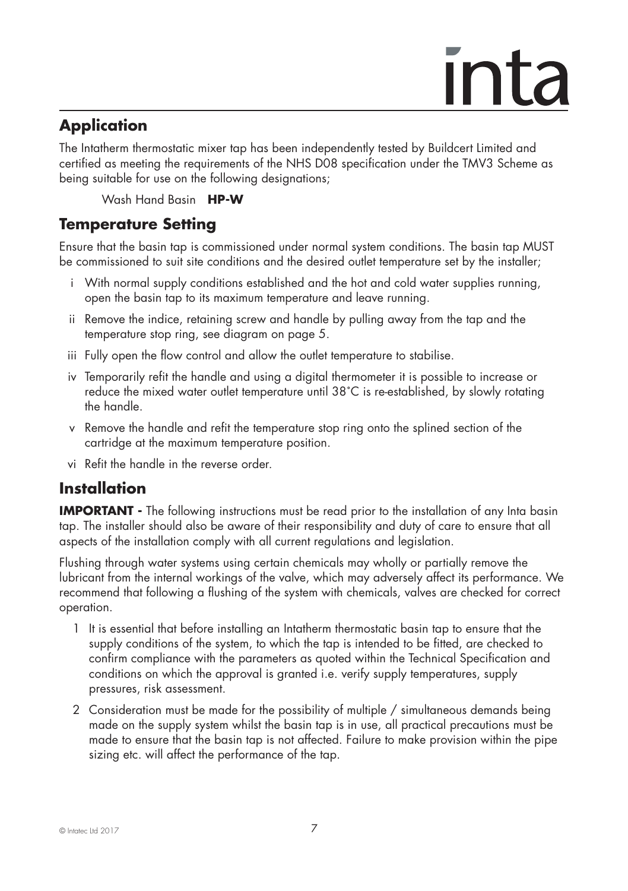### ınta

### **Application**

The Intatherm thermostatic mixer tap has been independently tested by Buildcert Limited and certified as meeting the requirements of the NHS D08 specification under the TMV3 Scheme as being suitable for use on the following designations;

Wash Hand Basin **HP-W**

### **Temperature Setting**

Ensure that the basin tap is commissioned under normal system conditions. The basin tap MUST be commissioned to suit site conditions and the desired outlet temperature set by the installer;

- i With normal supply conditions established and the hot and cold water supplies running, open the basin tap to its maximum temperature and leave running.
- ii Remove the indice, retaining screw and handle by pulling away from the tap and the temperature stop ring, see diagram on page 5.
- iii Fully open the flow control and allow the outlet temperature to stabilise.
- iv Temporarily refit the handle and using a digital thermometer it is possible to increase or reduce the mixed water outlet temperature until 38˚C is re-established, by slowly rotating the handle.
- v Remove the handle and refit the temperature stop ring onto the splined section of the cartridge at the maximum temperature position.
- vi Refit the handle in the reverse order.

### **Installation**

**IMPORTANT -** The following instructions must be read prior to the installation of any Inta basin tap. The installer should also be aware of their responsibility and duty of care to ensure that all aspects of the installation comply with all current regulations and legislation.

Flushing through water systems using certain chemicals may wholly or partially remove the lubricant from the internal workings of the valve, which may adversely affect its performance. We recommend that following a flushing of the system with chemicals, valves are checked for correct operation.

- 1 It is essential that before installing an Intatherm thermostatic basin tap to ensure that the supply conditions of the system, to which the tap is intended to be fitted, are checked to confirm compliance with the parameters as quoted within the Technical Specification and conditions on which the approval is granted i.e. verify supply temperatures, supply pressures, risk assessment.
- 2 Consideration must be made for the possibility of multiple / simultaneous demands being made on the supply system whilst the basin tap is in use, all practical precautions must be made to ensure that the basin tap is not affected. Failure to make provision within the pipe sizing etc. will affect the performance of the tap.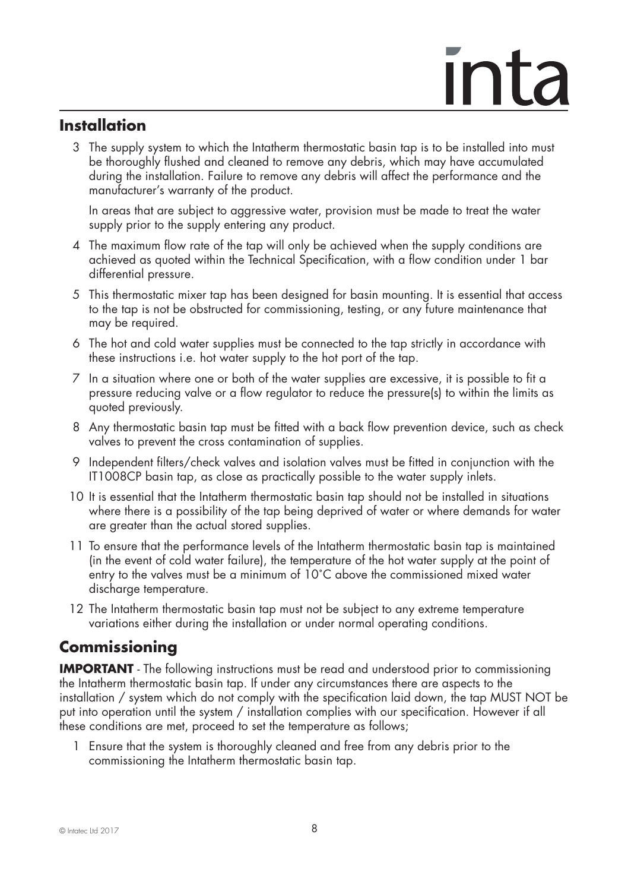### **Installation**

 3 The supply system to which the Intatherm thermostatic basin tap is to be installed into must be thoroughly flushed and cleaned to remove any debris, which may have accumulated during the installation. Failure to remove any debris will affect the performance and the manufacturer's warranty of the product.

 In areas that are subject to aggressive water, provision must be made to treat the water supply prior to the supply entering any product.

- 4 The maximum flow rate of the tap will only be achieved when the supply conditions are achieved as quoted within the Technical Specification, with a flow condition under 1 bar differential pressure.
- 5 This thermostatic mixer tap has been designed for basin mounting. It is essential that access to the tap is not be obstructed for commissioning, testing, or any future maintenance that may be required.
- 6 The hot and cold water supplies must be connected to the tap strictly in accordance with these instructions i.e. hot water supply to the hot port of the tap.
- 7 In a situation where one or both of the water supplies are excessive, it is possible to fit a pressure reducing valve or a flow regulator to reduce the pressure(s) to within the limits as quoted previously.
- 8 Any thermostatic basin tap must be fitted with a back flow prevention device, such as check valves to prevent the cross contamination of supplies.
- 9 Independent filters/check valves and isolation valves must be fitted in conjunction with the IT1008CP basin tap, as close as practically possible to the water supply inlets.
- 10 It is essential that the Intatherm thermostatic basin tap should not be installed in situations where there is a possibility of the tap being deprived of water or where demands for water are greater than the actual stored supplies.
- 11 To ensure that the performance levels of the Intatherm thermostatic basin tap is maintained (in the event of cold water failure), the temperature of the hot water supply at the point of entry to the valves must be a minimum of 10˚C above the commissioned mixed water discharge temperature.
- 12 The Intatherm thermostatic basin tap must not be subject to any extreme temperature variations either during the installation or under normal operating conditions.

### **Commissioning**

**IMPORTANT** - The following instructions must be read and understood prior to commissioning the Intatherm thermostatic basin tap. If under any circumstances there are aspects to the installation / system which do not comply with the specification laid down, the tap MUST NOT be put into operation until the system / installation complies with our specification. However if all these conditions are met, proceed to set the temperature as follows;

 1 Ensure that the system is thoroughly cleaned and free from any debris prior to the commissioning the Intatherm thermostatic basin tap.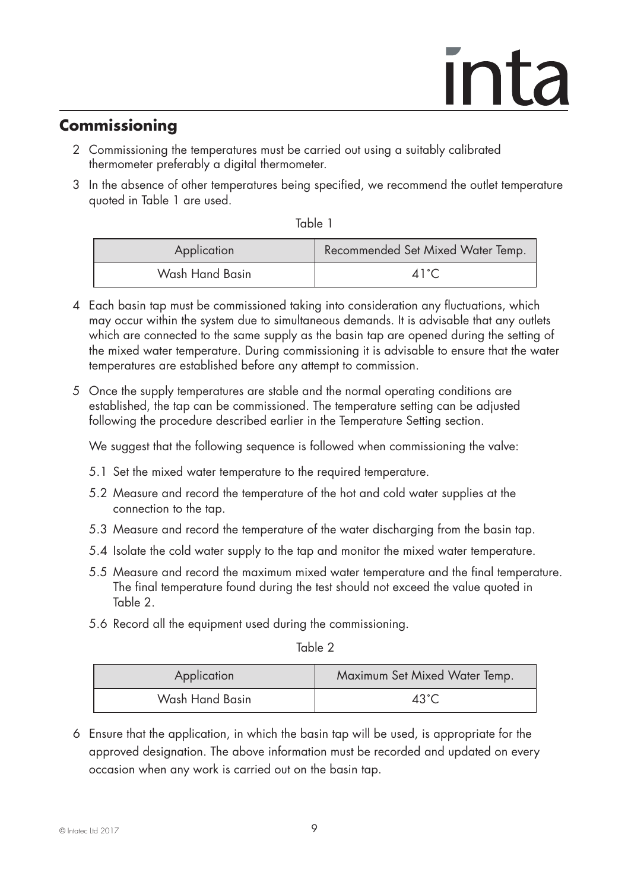### **Commissioning**

- 2 Commissioning the temperatures must be carried out using a suitably calibrated thermometer preferably a digital thermometer.
- 3 In the absence of other temperatures being specified, we recommend the outlet temperature quoted in Table 1 are used.

| v<br> | ۰.<br>n e s | ۹<br>w |  |
|-------|-------------|--------|--|
|       |             |        |  |

| Application     | Recommended Set Mixed Water Temp. |
|-----------------|-----------------------------------|
| Wash Hand Basin | $\Delta 1$ °C                     |

- 4 Each basin tap must be commissioned taking into consideration any fluctuations, which may occur within the system due to simultaneous demands. It is advisable that any outlets which are connected to the same supply as the basin tap are opened during the setting of the mixed water temperature. During commissioning it is advisable to ensure that the water temperatures are established before any attempt to commission.
- 5 Once the supply temperatures are stable and the normal operating conditions are established, the tap can be commissioned. The temperature setting can be adjusted following the procedure described earlier in the Temperature Setting section.

We suggest that the following sequence is followed when commissioning the valve:

- 5.1 Set the mixed water temperature to the required temperature.
- 5.2 Measure and record the temperature of the hot and cold water supplies at the connection to the tap.
- 5.3 Measure and record the temperature of the water discharging from the basin tap.
- 5.4 Isolate the cold water supply to the tap and monitor the mixed water temperature.
- 5.5 Measure and record the maximum mixed water temperature and the final temperature. The final temperature found during the test should not exceed the value quoted in Table 2.
- 5.6 Record all the equipment used during the commissioning.

Table 2

| Application     | Maximum Set Mixed Water Temp. |
|-----------------|-------------------------------|
| Wash Hand Basin | $43^{\circ}$ C                |

6 Ensure that the application, in which the basin tap will be used, is appropriate for the approved designation. The above information must be recorded and updated on every occasion when any work is carried out on the basin tap.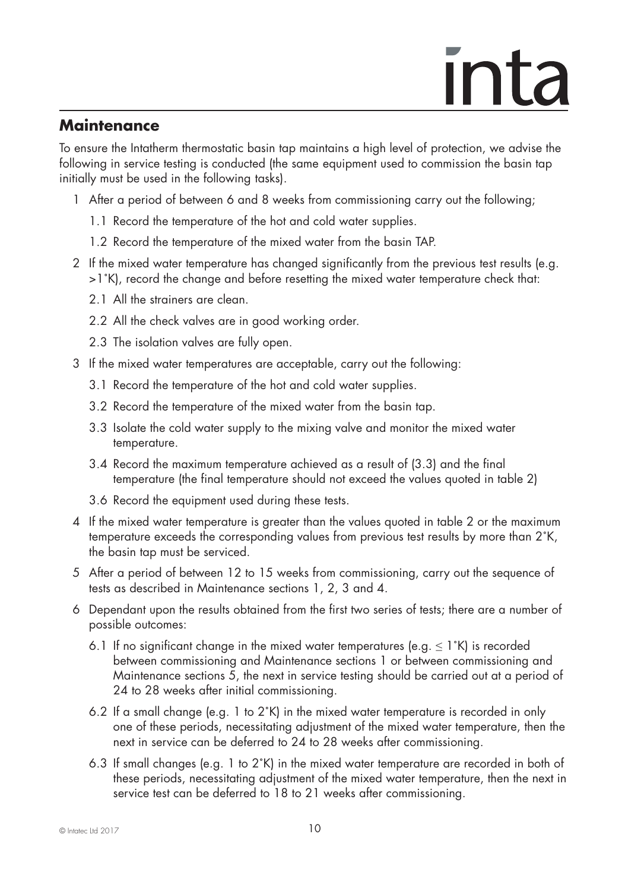#### **Maintenance**

To ensure the Intatherm thermostatic basin tap maintains a high level of protection, we advise the following in service testing is conducted (the same equipment used to commission the basin tap initially must be used in the following tasks).

- 1 After a period of between 6 and 8 weeks from commissioning carry out the following;
	- 1.1 Record the temperature of the hot and cold water supplies.
	- 1.2 Record the temperature of the mixed water from the basin TAP.
- 2 If the mixed water temperature has changed significantly from the previous test results (e.g. >1˚K), record the change and before resetting the mixed water temperature check that:
	- 2.1 All the strainers are clean.
	- 2.2 All the check valves are in good working order.
	- 2.3 The isolation valves are fully open.
- 3 If the mixed water temperatures are acceptable, carry out the following:
	- 3.1 Record the temperature of the hot and cold water supplies.
	- 3.2 Record the temperature of the mixed water from the basin tap.
	- 3.3 Isolate the cold water supply to the mixing valve and monitor the mixed water temperature.
	- 3.4 Record the maximum temperature achieved as a result of (3.3) and the final temperature (the final temperature should not exceed the values quoted in table 2)
	- 3.6 Record the equipment used during these tests.
- 4 If the mixed water temperature is greater than the values quoted in table 2 or the maximum temperature exceeds the corresponding values from previous test results by more than 2˚K, the basin tap must be serviced.
- 5 After a period of between 12 to 15 weeks from commissioning, carry out the sequence of tests as described in Maintenance sections 1, 2, 3 and 4.
- 6 Dependant upon the results obtained from the first two series of tests; there are a number of possible outcomes:
	- 6.1 If no significant change in the mixed water temperatures (e.g.  $\leq 1$ °K) is recorded between commissioning and Maintenance sections 1 or between commissioning and Maintenance sections 5, the next in service testing should be carried out at a period of 24 to 28 weeks after initial commissioning.
	- 6.2 If a small change (e.g. 1 to 2˚K) in the mixed water temperature is recorded in only one of these periods, necessitating adjustment of the mixed water temperature, then the next in service can be deferred to 24 to 28 weeks after commissioning.
	- 6.3 If small changes (e.g. 1 to  $2<sup>\circ</sup>K$ ) in the mixed water temperature are recorded in both of these periods, necessitating adjustment of the mixed water temperature, then the next in service test can be deferred to 18 to 21 weeks after commissioning.